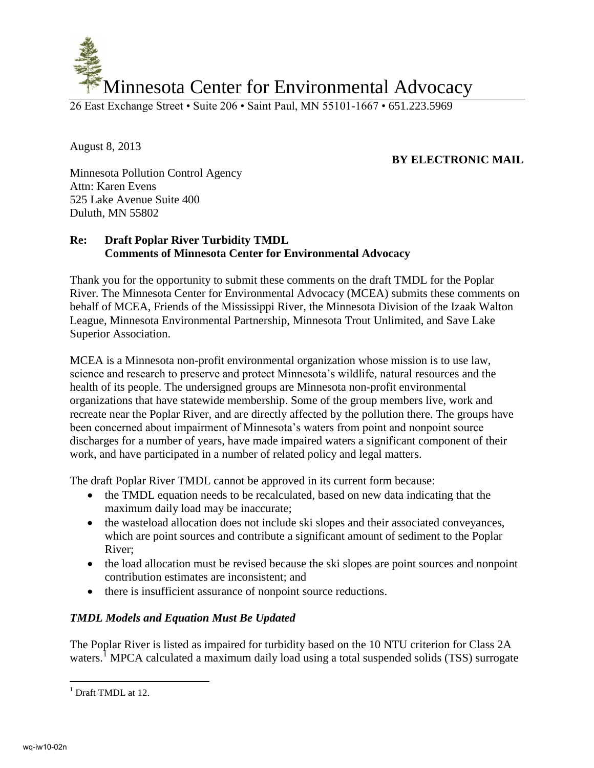

26 East Exchange Street • Suite 206 • Saint Paul, MN 55101-1667 • 651.223.5969

August 8, 2013

## **BY ELECTRONIC MAIL**

Minnesota Pollution Control Agency Attn: Karen Evens 525 Lake Avenue Suite 400 Duluth, MN 55802

## **Re: Draft Poplar River Turbidity TMDL Comments of Minnesota Center for Environmental Advocacy**

Thank you for the opportunity to submit these comments on the draft TMDL for the Poplar River. The Minnesota Center for Environmental Advocacy (MCEA) submits these comments on behalf of MCEA, Friends of the Mississippi River, the Minnesota Division of the Izaak Walton League, Minnesota Environmental Partnership, Minnesota Trout Unlimited, and Save Lake Superior Association.

MCEA is a Minnesota non-profit environmental organization whose mission is to use law, science and research to preserve and protect Minnesota's wildlife, natural resources and the health of its people. The undersigned groups are Minnesota non-profit environmental organizations that have statewide membership. Some of the group members live, work and recreate near the Poplar River, and are directly affected by the pollution there. The groups have been concerned about impairment of Minnesota's waters from point and nonpoint source discharges for a number of years, have made impaired waters a significant component of their work, and have participated in a number of related policy and legal matters.

The draft Poplar River TMDL cannot be approved in its current form because:

- the TMDL equation needs to be recalculated, based on new data indicating that the maximum daily load may be inaccurate;
- the wasteload allocation does not include ski slopes and their associated conveyances, which are point sources and contribute a significant amount of sediment to the Poplar River;
- the load allocation must be revised because the ski slopes are point sources and nonpoint contribution estimates are inconsistent; and
- there is insufficient assurance of nonpoint source reductions.

## *TMDL Models and Equation Must Be Updated*

The Poplar River is listed as impaired for turbidity based on the 10 NTU criterion for Class 2A waters.<sup>1</sup> MPCA calculated a maximum daily load using a total suspended solids (TSS) surrogate

<sup>&</sup>lt;sup>1</sup> Draft TMDL at 12.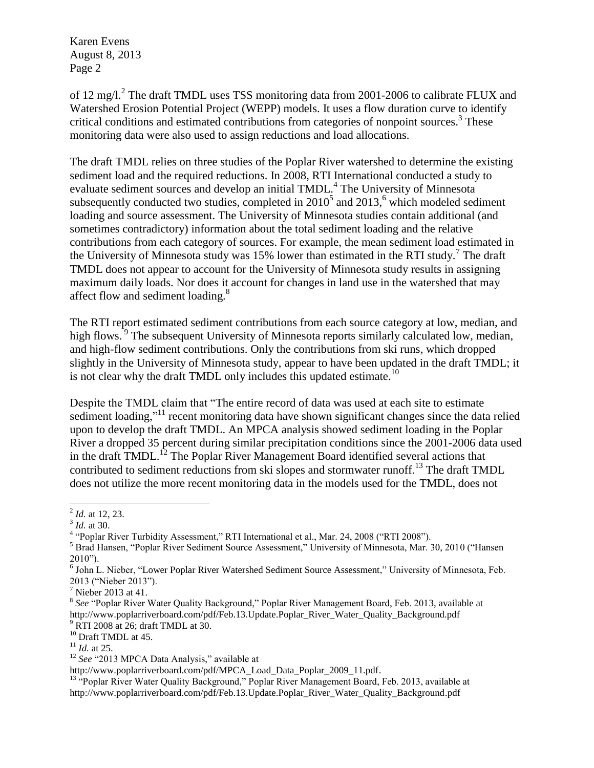of 12 mg/l.<sup>2</sup> The draft TMDL uses TSS monitoring data from 2001-2006 to calibrate FLUX and Watershed Erosion Potential Project (WEPP) models. It uses a flow duration curve to identify critical conditions and estimated contributions from categories of nonpoint sources.<sup>3</sup> These monitoring data were also used to assign reductions and load allocations.

The draft TMDL relies on three studies of the Poplar River watershed to determine the existing sediment load and the required reductions. In 2008, RTI International conducted a study to evaluate sediment sources and develop an initial TMDL.<sup>4</sup> The University of Minnesota subsequently conducted two studies, completed in  $2010<sup>5</sup>$  and  $2013<sup>6</sup>$ , which modeled sediment loading and source assessment. The University of Minnesota studies contain additional (and sometimes contradictory) information about the total sediment loading and the relative contributions from each category of sources. For example, the mean sediment load estimated in the University of Minnesota study was 15% lower than estimated in the RTI study.<sup>7</sup> The draft TMDL does not appear to account for the University of Minnesota study results in assigning maximum daily loads. Nor does it account for changes in land use in the watershed that may affect flow and sediment loading.<sup>8</sup>

The RTI report estimated sediment contributions from each source category at low, median, and high flows.<sup>5</sup> The subsequent University of Minnesota reports similarly calculated low, median, and high-flow sediment contributions. Only the contributions from ski runs, which dropped slightly in the University of Minnesota study, appear to have been updated in the draft TMDL; it is not clear why the draft TMDL only includes this updated estimate.<sup>10</sup>

Despite the TMDL claim that "The entire record of data was used at each site to estimate sediment loading,"<sup>11</sup> recent monitoring data have shown significant changes since the data relied upon to develop the draft TMDL. An MPCA analysis showed sediment loading in the Poplar River a dropped 35 percent during similar precipitation conditions since the 2001-2006 data used in the draft TMDL.<sup>12</sup> The Poplar River Management Board identified several actions that contributed to sediment reductions from ski slopes and stormwater runoff.<sup>13</sup> The draft TMDL does not utilize the more recent monitoring data in the models used for the TMDL, does not

<sup>2</sup> *Id.* at 12, 23.

<sup>3</sup> *Id.* at 30.

<sup>&</sup>lt;sup>4</sup> "Poplar River Turbidity Assessment," RTI International et al., Mar. 24, 2008 ("RTI 2008").

<sup>5</sup> Brad Hansen, "Poplar River Sediment Source Assessment," University of Minnesota, Mar. 30, 2010 ("Hansen 2010").

<sup>&</sup>lt;sup>6</sup> John L. Nieber, "Lower Poplar River Watershed Sediment Source Assessment," University of Minnesota, Feb. 2013 ("Nieber 2013").

<sup>&</sup>lt;sup>7</sup> Nieber 2013 at 41.

<sup>&</sup>lt;sup>8</sup> See "Poplar River Water Quality Background," Poplar River Management Board, Feb. 2013, available at http://www.poplarriverboard.com/pdf/Feb.13.Update.Poplar\_River\_Water\_Quality\_Background.pdf <sup>9</sup> RTI 2008 at 26; draft TMDL at 30.

<sup>10</sup> Draft TMDL at 45.

<sup>11</sup> *Id.* at 25.

<sup>12</sup> *See* "2013 MPCA Data Analysis," available at

http://www.poplarriverboard.com/pdf/MPCA\_Load\_Data\_Poplar\_2009\_11.pdf.

<sup>&</sup>lt;sup>13</sup> "Poplar River Water Quality Background," Poplar River Management Board, Feb. 2013, available at http://www.poplarriverboard.com/pdf/Feb.13.Update.Poplar\_River\_Water\_Quality\_Background.pdf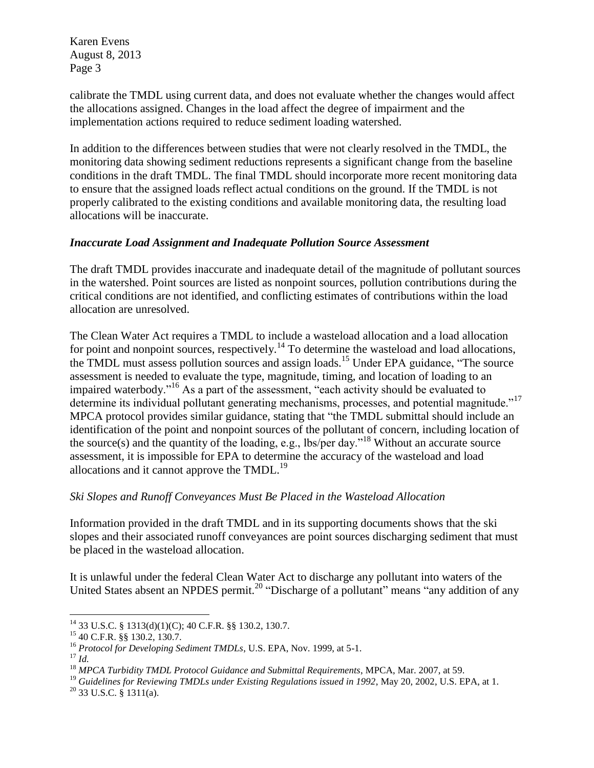calibrate the TMDL using current data, and does not evaluate whether the changes would affect the allocations assigned. Changes in the load affect the degree of impairment and the implementation actions required to reduce sediment loading watershed.

In addition to the differences between studies that were not clearly resolved in the TMDL, the monitoring data showing sediment reductions represents a significant change from the baseline conditions in the draft TMDL. The final TMDL should incorporate more recent monitoring data to ensure that the assigned loads reflect actual conditions on the ground. If the TMDL is not properly calibrated to the existing conditions and available monitoring data, the resulting load allocations will be inaccurate.

## *Inaccurate Load Assignment and Inadequate Pollution Source Assessment*

The draft TMDL provides inaccurate and inadequate detail of the magnitude of pollutant sources in the watershed. Point sources are listed as nonpoint sources, pollution contributions during the critical conditions are not identified, and conflicting estimates of contributions within the load allocation are unresolved.

The Clean Water Act requires a TMDL to include a wasteload allocation and a load allocation for point and nonpoint sources, respectively.<sup>14</sup> To determine the wasteload and load allocations, the TMDL must assess pollution sources and assign loads.<sup>15</sup> Under EPA guidance, "The source assessment is needed to evaluate the type, magnitude, timing, and location of loading to an impaired waterbody."<sup>16</sup> As a part of the assessment, "each activity should be evaluated to determine its individual pollutant generating mechanisms, processes, and potential magnitude."<sup>17</sup> MPCA protocol provides similar guidance, stating that "the TMDL submittal should include an identification of the point and nonpoint sources of the pollutant of concern, including location of the source(s) and the quantity of the loading, e.g., lbs/per day."<sup>18</sup> Without an accurate source assessment, it is impossible for EPA to determine the accuracy of the wasteload and load allocations and it cannot approve the  $TMDL<sup>19</sup>$ 

## *Ski Slopes and Runoff Conveyances Must Be Placed in the Wasteload Allocation*

Information provided in the draft TMDL and in its supporting documents shows that the ski slopes and their associated runoff conveyances are point sources discharging sediment that must be placed in the wasteload allocation.

It is unlawful under the federal Clean Water Act to discharge any pollutant into waters of the United States absent an NPDES permit.<sup>20</sup> "Discharge of a pollutant" means "any addition of any

 $\overline{a}$  $^{14}$  33 U.S.C. § 1313(d)(1)(C); 40 C.F.R. §§ 130.2, 130.7.

<sup>15</sup> 40 C.F.R. §§ 130.2, 130.7.

<sup>16</sup> *Protocol for Developing Sediment TMDLs*, U.S. EPA, Nov. 1999, at 5-1.

<sup>17</sup> *Id.*

<sup>18</sup> *MPCA Turbidity TMDL Protocol Guidance and Submittal Requirements*, MPCA, Mar. 2007, at 59.

<sup>&</sup>lt;sup>19</sup> Guidelines for Reviewing TMDLs under Existing Regulations issued in 1992, May 20, 2002, U.S. EPA, at 1.

 $20$  33 U.S.C. § 1311(a).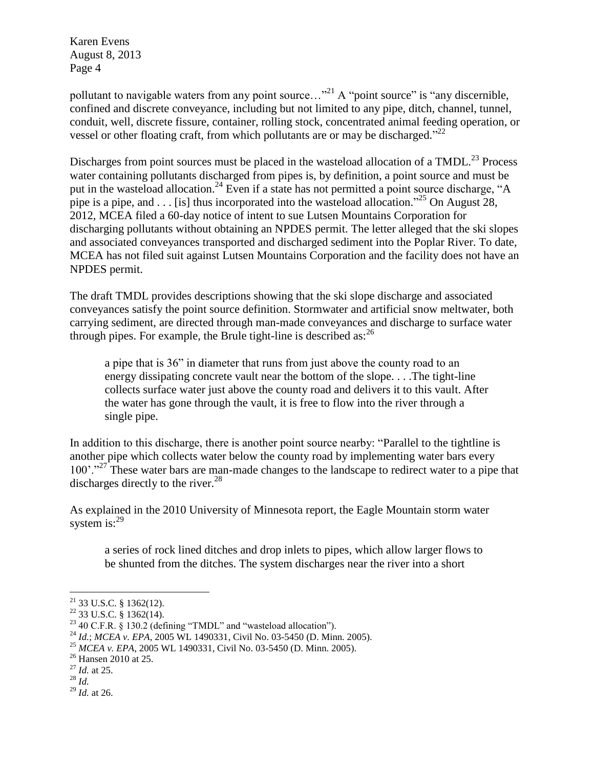pollutant to navigable waters from any point source..."<sup>21</sup> A "point source" is "any discernible, confined and discrete conveyance, including but not limited to any pipe, ditch, channel, tunnel, conduit, well, discrete fissure, container, rolling stock, concentrated animal feeding operation, or vessel or other floating craft, from which pollutants are or may be discharged."<sup>22</sup>

Discharges from point sources must be placed in the wasteload allocation of a TMDL.<sup>23</sup> Process water containing pollutants discharged from pipes is, by definition, a point source and must be put in the wasteload allocation.<sup>24</sup> Even if a state has not permitted a point source discharge, "A pipe is a pipe, and . . . [is] thus incorporated into the wasteload allocation.<sup>225</sup> On August 28, 2012, MCEA filed a 60-day notice of intent to sue Lutsen Mountains Corporation for discharging pollutants without obtaining an NPDES permit. The letter alleged that the ski slopes and associated conveyances transported and discharged sediment into the Poplar River. To date, MCEA has not filed suit against Lutsen Mountains Corporation and the facility does not have an NPDES permit.

The draft TMDL provides descriptions showing that the ski slope discharge and associated conveyances satisfy the point source definition. Stormwater and artificial snow meltwater, both carrying sediment, are directed through man-made conveyances and discharge to surface water through pipes. For example, the Brule tight-line is described as:  $^{26}$ 

a pipe that is 36" in diameter that runs from just above the county road to an energy dissipating concrete vault near the bottom of the slope. . . .The tight-line collects surface water just above the county road and delivers it to this vault. After the water has gone through the vault, it is free to flow into the river through a single pipe.

In addition to this discharge, there is another point source nearby: "Parallel to the tightline is another pipe which collects water below the county road by implementing water bars every 100'."<sup>27</sup> These water bars are man-made changes to the landscape to redirect water to a pipe that discharges directly to the river.<sup>28</sup>

As explained in the 2010 University of Minnesota report, the Eagle Mountain storm water system is:<sup>29</sup>

a series of rock lined ditches and drop inlets to pipes, which allow larger flows to be shunted from the ditches. The system discharges near the river into a short

 $21$  33 U.S.C. § 1362(12).

 $22$  33 U.S.C. § 1362(14).

 $23$  40 C.F.R. § 130.2 (defining "TMDL" and "wasteload allocation").

<sup>24</sup> *Id.*; *MCEA v. EPA*, 2005 WL 1490331, Civil No. 03-5450 (D. Minn. 2005).

<sup>25</sup> *MCEA v. EPA*, 2005 WL 1490331, Civil No. 03-5450 (D. Minn. 2005).

<sup>&</sup>lt;sup>26</sup> Hansen 2010 at 25.

<sup>27</sup> *Id.* at 25.

<sup>28</sup> *Id.*

<sup>29</sup> *Id.* at 26.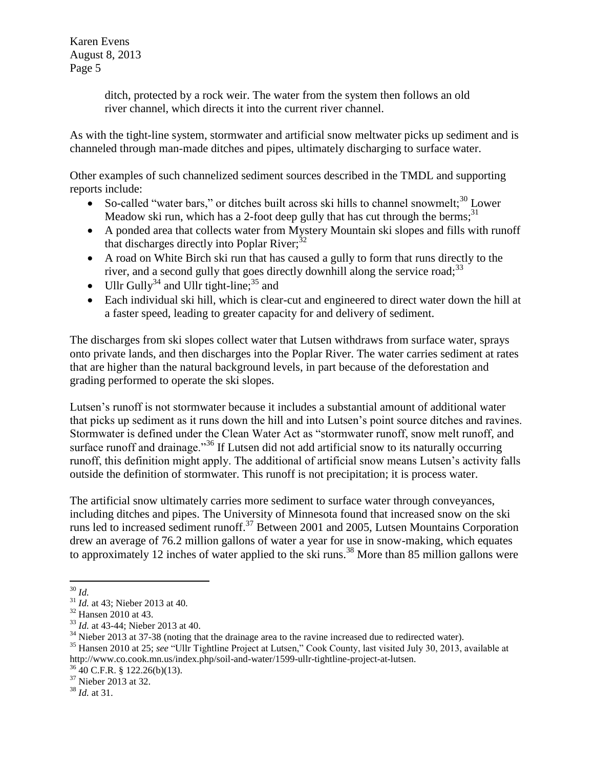> ditch, protected by a rock weir. The water from the system then follows an old river channel, which directs it into the current river channel.

As with the tight-line system, stormwater and artificial snow meltwater picks up sediment and is channeled through man-made ditches and pipes, ultimately discharging to surface water.

Other examples of such channelized sediment sources described in the TMDL and supporting reports include:

- So-called "water bars," or ditches built across ski hills to channel snowmelt; $^{30}$  Lower Meadow ski run, which has a 2-foot deep gully that has cut through the berms;<sup>31</sup>
- A ponded area that collects water from Mystery Mountain ski slopes and fills with runoff that discharges directly into Poplar River; $32$
- A road on White Birch ski run that has caused a gully to form that runs directly to the river, and a second gully that goes directly downhill along the service road;<sup>33</sup>
- Ullr Gully<sup>34</sup> and Ullr tight-line;<sup>35</sup> and
- Each individual ski hill, which is clear-cut and engineered to direct water down the hill at a faster speed, leading to greater capacity for and delivery of sediment.

The discharges from ski slopes collect water that Lutsen withdraws from surface water, sprays onto private lands, and then discharges into the Poplar River. The water carries sediment at rates that are higher than the natural background levels, in part because of the deforestation and grading performed to operate the ski slopes.

Lutsen's runoff is not stormwater because it includes a substantial amount of additional water that picks up sediment as it runs down the hill and into Lutsen's point source ditches and ravines. Stormwater is defined under the Clean Water Act as "stormwater runoff, snow melt runoff, and surface runoff and drainage."<sup>36</sup> If Lutsen did not add artificial snow to its naturally occurring runoff, this definition might apply. The additional of artificial snow means Lutsen's activity falls outside the definition of stormwater. This runoff is not precipitation; it is process water.

The artificial snow ultimately carries more sediment to surface water through conveyances, including ditches and pipes. The University of Minnesota found that increased snow on the ski runs led to increased sediment runoff.<sup>37</sup> Between 2001 and 2005, Lutsen Mountains Corporation drew an average of 76.2 million gallons of water a year for use in snow-making, which equates to approximately 12 inches of water applied to the ski runs.<sup>38</sup> More than 85 million gallons were

 $\overline{a}$ <sup>30</sup> *Id.*

<sup>&</sup>lt;sup>31</sup> *Id.* at 43; Nieber 2013 at 40.

<sup>32</sup> Hansen 2010 at 43.

<sup>33</sup> *Id.* at 43-44; Nieber 2013 at 40.

<sup>&</sup>lt;sup>34</sup> Nieber 2013 at 37-38 (noting that the drainage area to the ravine increased due to redirected water).

<sup>35</sup> Hansen 2010 at 25; *see* "Ullr Tightline Project at Lutsen," Cook County, last visited July 30, 2013, available at http://www.co.cook.mn.us/index.php/soil-and-water/1599-ullr-tightline-project-at-lutsen.

 $36\overline{40}$  C.F.R. § 122.26(b)(13).

<sup>&</sup>lt;sup>37</sup> Nieber 2013 at 32.

<sup>38</sup> *Id.* at 31.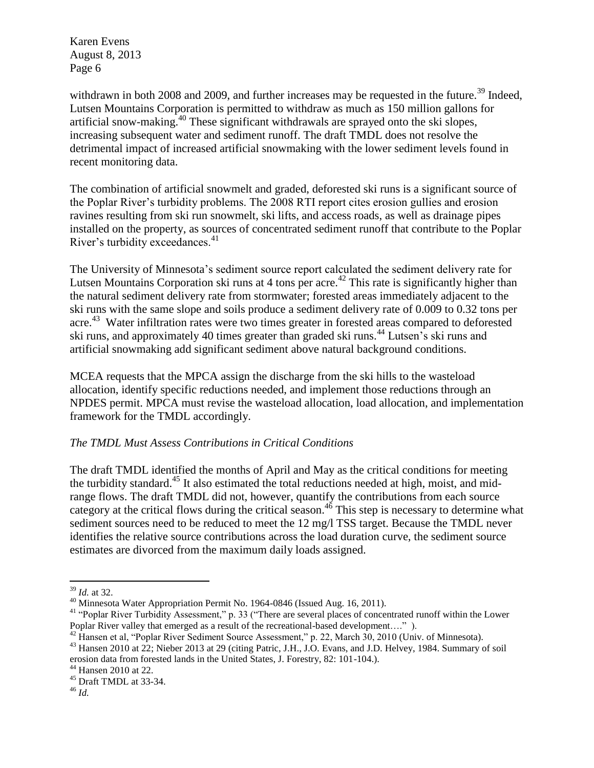withdrawn in both 2008 and 2009, and further increases may be requested in the future.<sup>39</sup> Indeed, Lutsen Mountains Corporation is permitted to withdraw as much as 150 million gallons for artificial snow-making.<sup>40</sup> These significant withdrawals are sprayed onto the ski slopes, increasing subsequent water and sediment runoff. The draft TMDL does not resolve the detrimental impact of increased artificial snowmaking with the lower sediment levels found in recent monitoring data.

The combination of artificial snowmelt and graded, deforested ski runs is a significant source of the Poplar River's turbidity problems. The 2008 RTI report cites erosion gullies and erosion ravines resulting from ski run snowmelt, ski lifts, and access roads, as well as drainage pipes installed on the property, as sources of concentrated sediment runoff that contribute to the Poplar River's turbidity exceedances.<sup>41</sup>

The University of Minnesota's sediment source report calculated the sediment delivery rate for Lutsen Mountains Corporation ski runs at 4 tons per acre.<sup>42</sup> This rate is significantly higher than the natural sediment delivery rate from stormwater; forested areas immediately adjacent to the ski runs with the same slope and soils produce a sediment delivery rate of 0.009 to 0.32 tons per acre.<sup>43</sup> Water infiltration rates were two times greater in forested areas compared to deforested ski runs, and approximately 40 times greater than graded ski runs.<sup>44</sup> Lutsen's ski runs and artificial snowmaking add significant sediment above natural background conditions.

MCEA requests that the MPCA assign the discharge from the ski hills to the wasteload allocation, identify specific reductions needed, and implement those reductions through an NPDES permit. MPCA must revise the wasteload allocation, load allocation, and implementation framework for the TMDL accordingly.

## *The TMDL Must Assess Contributions in Critical Conditions*

The draft TMDL identified the months of April and May as the critical conditions for meeting the turbidity standard.<sup>45</sup> It also estimated the total reductions needed at high, moist, and midrange flows. The draft TMDL did not, however, quantify the contributions from each source category at the critical flows during the critical season.<sup>46</sup> This step is necessary to determine what sediment sources need to be reduced to meet the 12 mg/l TSS target. Because the TMDL never identifies the relative source contributions across the load duration curve, the sediment source estimates are divorced from the maximum daily loads assigned.

 $\overline{a}$ <sup>39</sup> *Id.* at 32.

<sup>40</sup> Minnesota Water Appropriation Permit No. 1964-0846 (Issued Aug. 16, 2011).

<sup>&</sup>lt;sup>41</sup> "Poplar River Turbidity Assessment," p. 33 ("There are several places of concentrated runoff within the Lower Poplar River valley that emerged as a result of the recreational-based development…." ).

<sup>&</sup>lt;sup>42</sup> Hansen et al, "Poplar River Sediment Source Assessment," p. 22, March 30, 2010 (Univ. of Minnesota).

<sup>&</sup>lt;sup>43</sup> Hansen 2010 at 22; Nieber 2013 at 29 (citing Patric, J.H., J.O. Evans, and J.D. Helvey, 1984. Summary of soil erosion data from forested lands in the United States, J. Forestry, 82: 101-104.).

<sup>44</sup> Hansen 2010 at 22.

<sup>45</sup> Draft TMDL at 33-34.

<sup>46</sup> *Id.*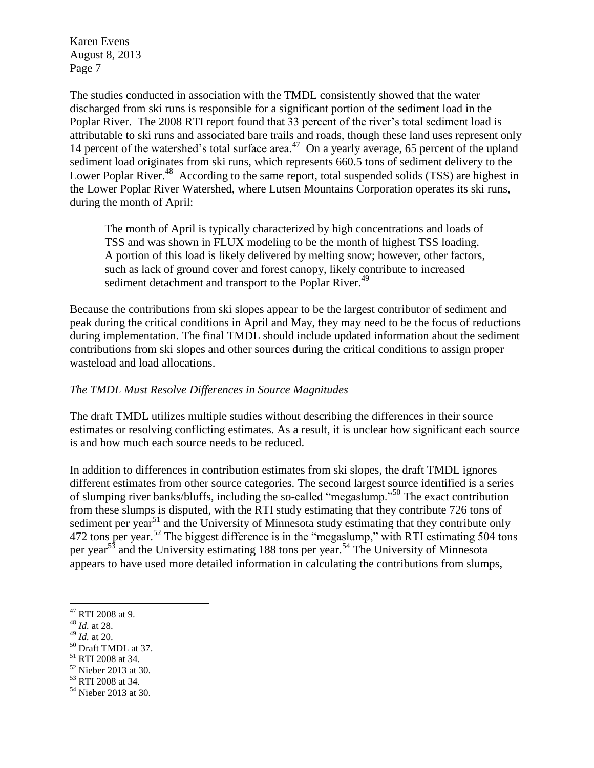The studies conducted in association with the TMDL consistently showed that the water discharged from ski runs is responsible for a significant portion of the sediment load in the Poplar River. The 2008 RTI report found that 33 percent of the river's total sediment load is attributable to ski runs and associated bare trails and roads, though these land uses represent only 14 percent of the watershed's total surface area.<sup>47</sup> On a yearly average, 65 percent of the upland sediment load originates from ski runs, which represents 660.5 tons of sediment delivery to the Lower Poplar River.<sup>48</sup> According to the same report, total suspended solids (TSS) are highest in the Lower Poplar River Watershed, where Lutsen Mountains Corporation operates its ski runs, during the month of April:

The month of April is typically characterized by high concentrations and loads of TSS and was shown in FLUX modeling to be the month of highest TSS loading. A portion of this load is likely delivered by melting snow; however, other factors, such as lack of ground cover and forest canopy, likely contribute to increased sediment detachment and transport to the Poplar River.<sup>49</sup>

Because the contributions from ski slopes appear to be the largest contributor of sediment and peak during the critical conditions in April and May, they may need to be the focus of reductions during implementation. The final TMDL should include updated information about the sediment contributions from ski slopes and other sources during the critical conditions to assign proper wasteload and load allocations.

#### *The TMDL Must Resolve Differences in Source Magnitudes*

The draft TMDL utilizes multiple studies without describing the differences in their source estimates or resolving conflicting estimates. As a result, it is unclear how significant each source is and how much each source needs to be reduced.

In addition to differences in contribution estimates from ski slopes, the draft TMDL ignores different estimates from other source categories. The second largest source identified is a series of slumping river banks/bluffs, including the so-called "megaslump."<sup>50</sup> The exact contribution from these slumps is disputed, with the RTI study estimating that they contribute 726 tons of sediment per year<sup>51</sup> and the University of Minnesota study estimating that they contribute only 472 tons per year.<sup>52</sup> The biggest difference is in the "megaslump," with RTI estimating 504 tons per year<sup>53</sup> and the University estimating 188 tons per year.<sup>54</sup> The University of Minnesota appears to have used more detailed information in calculating the contributions from slumps,

- <sup>51</sup> RTI 2008 at 34.
- <sup>52</sup> Nieber 2013 at 30.
- <sup>53</sup> RTI 2008 at 34.

 $\overline{a}$ <sup>47</sup> RTI 2008 at 9.

<sup>48</sup> *Id.* at 28.

<sup>49</sup> *Id.* at 20.

<sup>50</sup> Draft TMDL at 37.

<sup>&</sup>lt;sup>54</sup> Nieber 2013 at 30.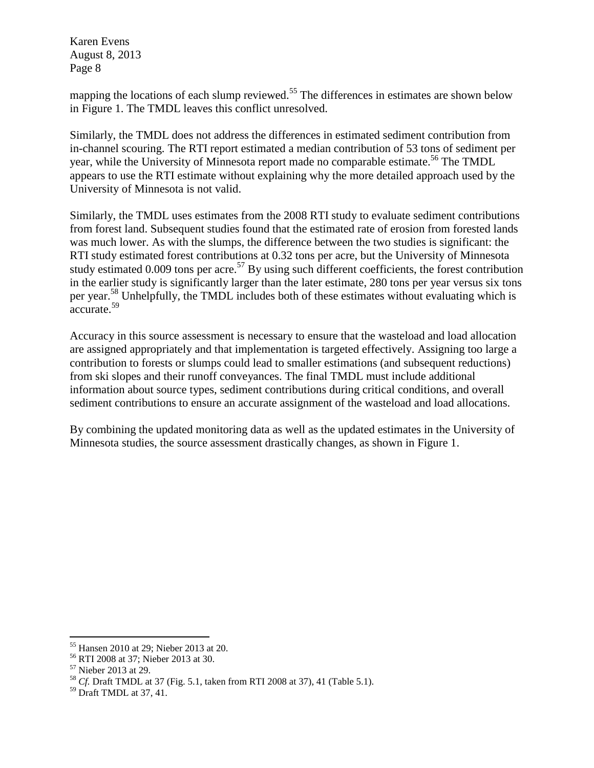mapping the locations of each slump reviewed.<sup>55</sup> The differences in estimates are shown below in Figure 1. The TMDL leaves this conflict unresolved.

Similarly, the TMDL does not address the differences in estimated sediment contribution from in-channel scouring. The RTI report estimated a median contribution of 53 tons of sediment per year, while the University of Minnesota report made no comparable estimate.<sup>56</sup> The TMDL appears to use the RTI estimate without explaining why the more detailed approach used by the University of Minnesota is not valid.

Similarly, the TMDL uses estimates from the 2008 RTI study to evaluate sediment contributions from forest land. Subsequent studies found that the estimated rate of erosion from forested lands was much lower. As with the slumps, the difference between the two studies is significant: the RTI study estimated forest contributions at 0.32 tons per acre, but the University of Minnesota study estimated 0.009 tons per acre.<sup>57</sup> By using such different coefficients, the forest contribution in the earlier study is significantly larger than the later estimate, 280 tons per year versus six tons per year.<sup>58</sup> Unhelpfully, the TMDL includes both of these estimates without evaluating which is accurate.<sup>59</sup>

Accuracy in this source assessment is necessary to ensure that the wasteload and load allocation are assigned appropriately and that implementation is targeted effectively. Assigning too large a contribution to forests or slumps could lead to smaller estimations (and subsequent reductions) from ski slopes and their runoff conveyances. The final TMDL must include additional information about source types, sediment contributions during critical conditions, and overall sediment contributions to ensure an accurate assignment of the wasteload and load allocations.

By combining the updated monitoring data as well as the updated estimates in the University of Minnesota studies, the source assessment drastically changes, as shown in Figure 1.

 $\overline{a}$ <sup>55</sup> Hansen 2010 at 29; Nieber 2013 at 20.

<sup>56</sup> RTI 2008 at 37; Nieber 2013 at 30.

<sup>57</sup> Nieber 2013 at 29.

<sup>58</sup> *Cf.* Draft TMDL at 37 (Fig. 5.1, taken from RTI 2008 at 37), 41 (Table 5.1).

<sup>59</sup> Draft TMDL at 37, 41.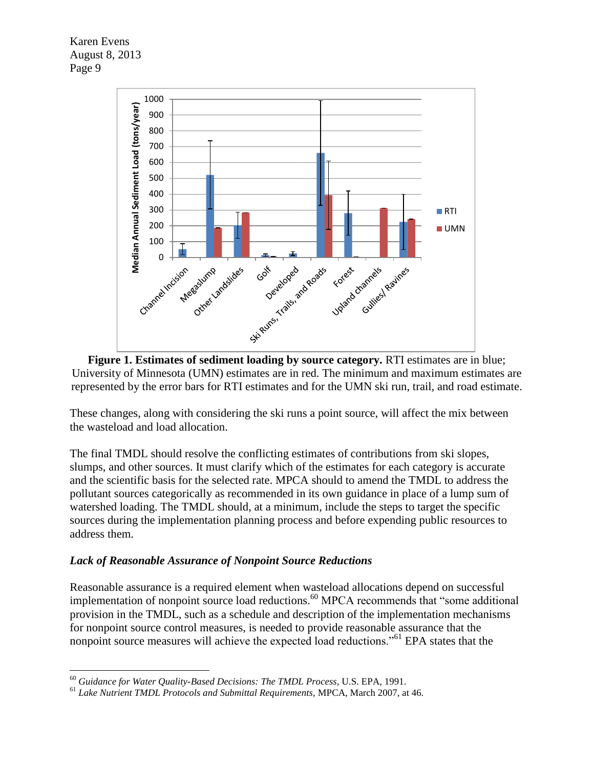$\overline{a}$ 



**Figure 1. Estimates of sediment loading by source category.** RTI estimates are in blue; University of Minnesota (UMN) estimates are in red. The minimum and maximum estimates are represented by the error bars for RTI estimates and for the UMN ski run, trail, and road estimate.

These changes, along with considering the ski runs a point source, will affect the mix between the wasteload and load allocation.

The final TMDL should resolve the conflicting estimates of contributions from ski slopes, slumps, and other sources. It must clarify which of the estimates for each category is accurate and the scientific basis for the selected rate. MPCA should to amend the TMDL to address the pollutant sources categorically as recommended in its own guidance in place of a lump sum of watershed loading. The TMDL should, at a minimum, include the steps to target the specific sources during the implementation planning process and before expending public resources to address them.

#### *Lack of Reasonable Assurance of Nonpoint Source Reductions*

Reasonable assurance is a required element when wasteload allocations depend on successful implementation of nonpoint source load reductions.<sup>60</sup> MPCA recommends that "some additional provision in the TMDL, such as a schedule and description of the implementation mechanisms for nonpoint source control measures, is needed to provide reasonable assurance that the nonpoint source measures will achieve the expected load reductions."<sup>61</sup> EPA states that the

<sup>60</sup> *Guidance for Water Quality-Based Decisions: The TMDL Process*, U.S. EPA, 1991.

<sup>61</sup> *Lake Nutrient TMDL Protocols and Submittal Requirements*, MPCA, March 2007, at 46.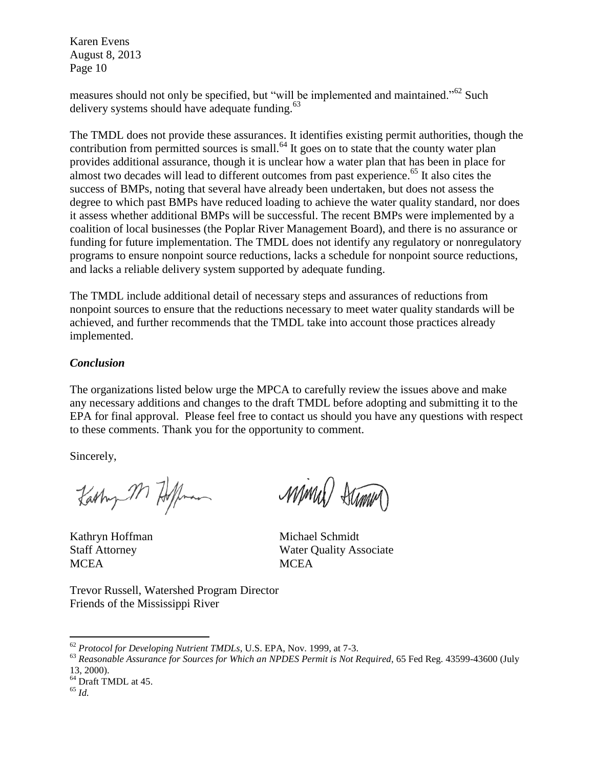measures should not only be specified, but "will be implemented and maintained."<sup>62</sup> Such delivery systems should have adequate funding. $63$ 

The TMDL does not provide these assurances. It identifies existing permit authorities, though the contribution from permitted sources is small. $64$  It goes on to state that the county water plan provides additional assurance, though it is unclear how a water plan that has been in place for almost two decades will lead to different outcomes from past experience.<sup> $65$ </sup> It also cites the success of BMPs, noting that several have already been undertaken, but does not assess the degree to which past BMPs have reduced loading to achieve the water quality standard, nor does it assess whether additional BMPs will be successful. The recent BMPs were implemented by a coalition of local businesses (the Poplar River Management Board), and there is no assurance or funding for future implementation. The TMDL does not identify any regulatory or nonregulatory programs to ensure nonpoint source reductions, lacks a schedule for nonpoint source reductions, and lacks a reliable delivery system supported by adequate funding.

The TMDL include additional detail of necessary steps and assurances of reductions from nonpoint sources to ensure that the reductions necessary to meet water quality standards will be achieved, and further recommends that the TMDL take into account those practices already implemented.

#### *Conclusion*

The organizations listed below urge the MPCA to carefully review the issues above and make any necessary additions and changes to the draft TMDL before adopting and submitting it to the EPA for final approval. Please feel free to contact us should you have any questions with respect to these comments. Thank you for the opportunity to comment.

Sincerely,

Karlung M Hoffman

MCEA MCEA

Minul Summ

Kathryn Hoffman Michael Schmidt Staff Attorney Water Quality Associate

Trevor Russell, Watershed Program Director Friends of the Mississippi River

<sup>62</sup> *Protocol for Developing Nutrient TMDLs*, U.S. EPA, Nov. 1999, at 7-3.

<sup>63</sup> *Reasonable Assurance for Sources for Which an NPDES Permit is Not Required*, 65 Fed Reg. 43599-43600 (July 13, 2000).

 $64$  Draft TMDL at 45.

<sup>65</sup> *Id.*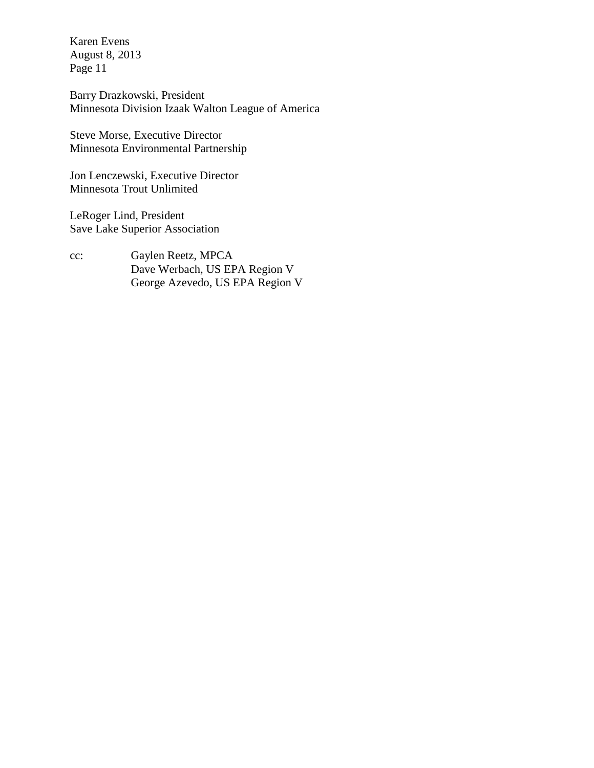Barry Drazkowski, President Minnesota Division Izaak Walton League of America

Steve Morse, Executive Director Minnesota Environmental Partnership

Jon Lenczewski, Executive Director Minnesota Trout Unlimited

LeRoger Lind, President Save Lake Superior Association

cc: Gaylen Reetz, MPCA Dave Werbach, US EPA Region V George Azevedo, US EPA Region V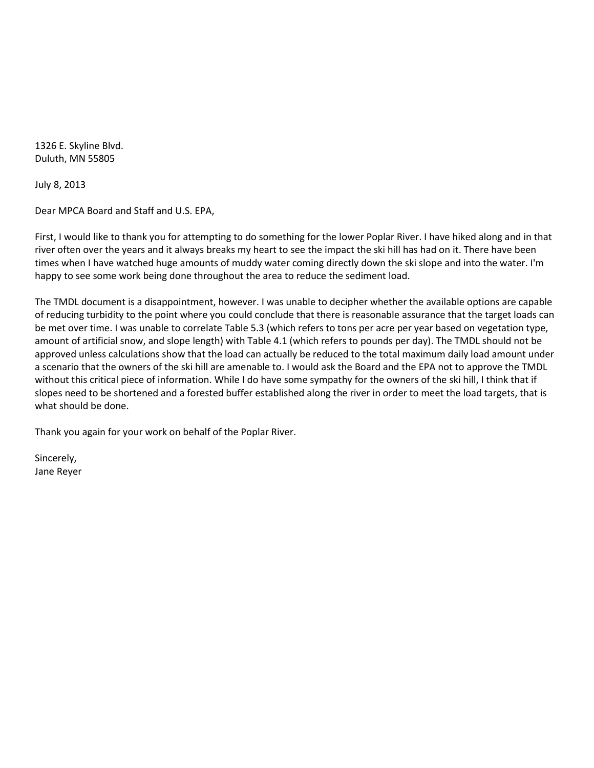1326 E. Skyline Blvd. Duluth, MN 55805

July 8, 2013

Dear MPCA Board and Staff and U.S. EPA,

First, I would like to thank you for attempting to do something for the lower Poplar River. I have hiked along and in that river often over the years and it always breaks my heart to see the impact the ski hill has had on it. There have been times when I have watched huge amounts of muddy water coming directly down the ski slope and into the water. I'm happy to see some work being done throughout the area to reduce the sediment load.

The TMDL document is a disappointment, however. I was unable to decipher whether the available options are capable of reducing turbidity to the point where you could conclude that there is reasonable assurance that the target loads can be met over time. I was unable to correlate Table 5.3 (which refers to tons per acre per year based on vegetation type, amount of artificial snow, and slope length) with Table 4.1 (which refers to pounds per day). The TMDL should not be approved unless calculations show that the load can actually be reduced to the total maximum daily load amount under a scenario that the owners of the ski hill are amenable to. I would ask the Board and the EPA not to approve the TMDL without this critical piece of information. While I do have some sympathy for the owners of the ski hill, I think that if slopes need to be shortened and a forested buffer established along the river in order to meet the load targets, that is what should be done.

Thank you again for your work on behalf of the Poplar River.

Sincerely, Jane Reyer